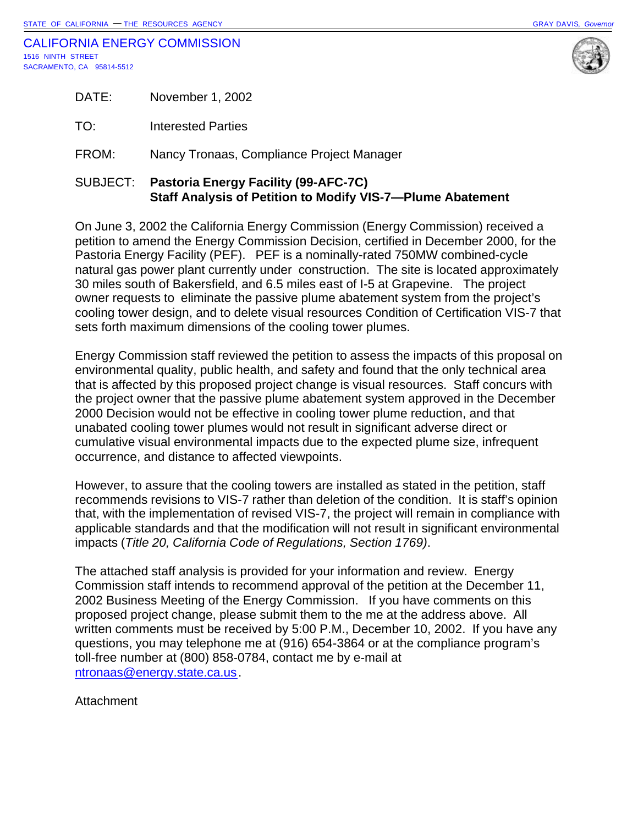

|       | SUBJECT: Pastoria Energy Facility (99-AFC-7C) |
|-------|-----------------------------------------------|
| FROM: | Nancy Tronaas, Compliance Project Manager     |
| TO:   | Interested Parties                            |
| DATE: | November 1, 2002                              |

# **Staff Analysis of Petition to Modify VIS-7—Plume Abatement**

On June 3, 2002 the California Energy Commission (Energy Commission) received a petition to amend the Energy Commission Decision, certified in December 2000, for the Pastoria Energy Facility (PEF). PEF is a nominally-rated 750MW combined-cycle natural gas power plant currently under construction. The site is located approximately 30 miles south of Bakersfield, and 6.5 miles east of I-5 at Grapevine. The project owner requests to eliminate the passive plume abatement system from the project's cooling tower design, and to delete visual resources Condition of Certification VIS-7 that sets forth maximum dimensions of the cooling tower plumes.

Energy Commission staff reviewed the petition to assess the impacts of this proposal on environmental quality, public health, and safety and found that the only technical area that is affected by this proposed project change is visual resources. Staff concurs with the project owner that the passive plume abatement system approved in the December 2000 Decision would not be effective in cooling tower plume reduction, and that unabated cooling tower plumes would not result in significant adverse direct or cumulative visual environmental impacts due to the expected plume size, infrequent occurrence, and distance to affected viewpoints.

However, to assure that the cooling towers are installed as stated in the petition, staff recommends revisions to VIS-7 rather than deletion of the condition. It is staff's opinion that, with the implementation of revised VIS-7, the project will remain in compliance with applicable standards and that the modification will not result in significant environmental impacts (*Title 20, California Code of Regulations, Section 1769)*.

The attached staff analysis is provided for your information and review. Energy Commission staff intends to recommend approval of the petition at the December 11, 2002 Business Meeting of the Energy Commission. If you have comments on this proposed project change, please submit them to the me at the address above. All written comments must be received by 5:00 P.M., December 10, 2002. If you have any questions, you may telephone me at (916) 654-3864 or at the compliance program's toll-free number at (800) 858-0784, contact me by e-mail at ntronaas@energy.state.ca.us.

**Attachment**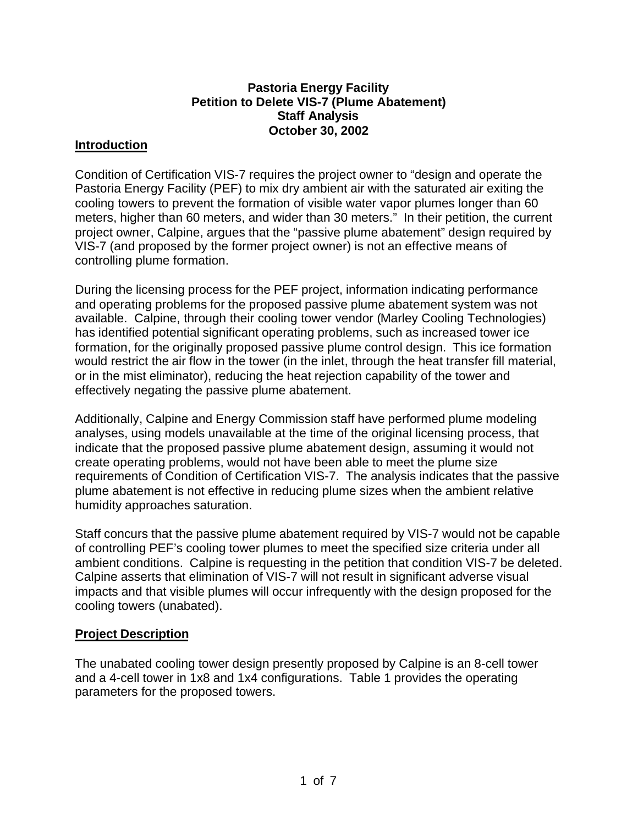#### **Pastoria Energy Facility Petition to Delete VIS-7 (Plume Abatement) Staff Analysis October 30, 2002**

### **Introduction**

Condition of Certification VIS-7 requires the project owner to "design and operate the Pastoria Energy Facility (PEF) to mix dry ambient air with the saturated air exiting the cooling towers to prevent the formation of visible water vapor plumes longer than 60 meters, higher than 60 meters, and wider than 30 meters." In their petition, the current project owner, Calpine, argues that the "passive plume abatement" design required by VIS-7 (and proposed by the former project owner) is not an effective means of controlling plume formation.

During the licensing process for the PEF project, information indicating performance and operating problems for the proposed passive plume abatement system was not available. Calpine, through their cooling tower vendor (Marley Cooling Technologies) has identified potential significant operating problems, such as increased tower ice formation, for the originally proposed passive plume control design. This ice formation would restrict the air flow in the tower (in the inlet, through the heat transfer fill material, or in the mist eliminator), reducing the heat rejection capability of the tower and effectively negating the passive plume abatement.

Additionally, Calpine and Energy Commission staff have performed plume modeling analyses, using models unavailable at the time of the original licensing process, that indicate that the proposed passive plume abatement design, assuming it would not create operating problems, would not have been able to meet the plume size requirements of Condition of Certification VIS-7. The analysis indicates that the passive plume abatement is not effective in reducing plume sizes when the ambient relative humidity approaches saturation.

Staff concurs that the passive plume abatement required by VIS-7 would not be capable of controlling PEF's cooling tower plumes to meet the specified size criteria under all ambient conditions. Calpine is requesting in the petition that condition VIS-7 be deleted. Calpine asserts that elimination of VIS-7 will not result in significant adverse visual impacts and that visible plumes will occur infrequently with the design proposed for the cooling towers (unabated).

#### **Project Description**

The unabated cooling tower design presently proposed by Calpine is an 8-cell tower and a 4-cell tower in 1x8 and 1x4 configurations. Table 1 provides the operating parameters for the proposed towers.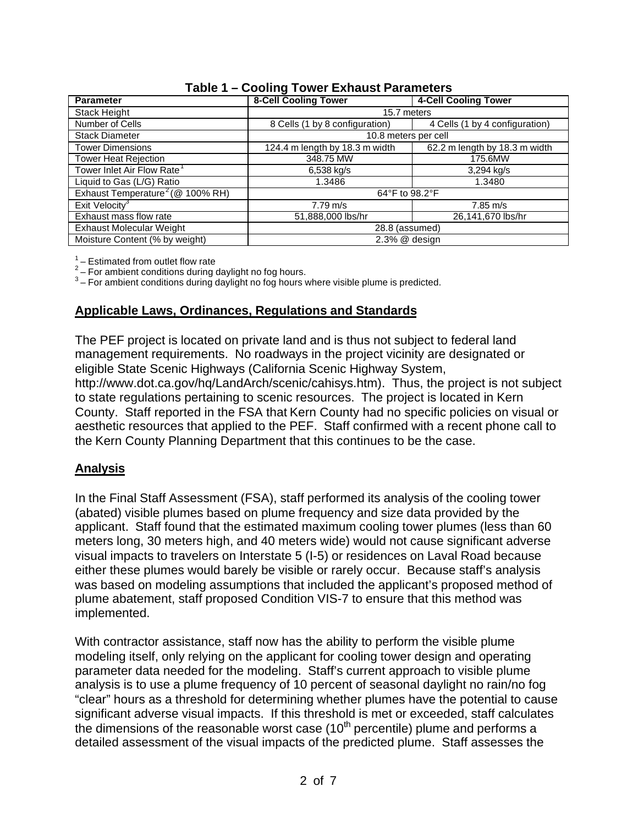| <b>Parameter</b>                             | <b>8-Cell Cooling Tower</b>    | 4-Cell Cooling Tower           |  |
|----------------------------------------------|--------------------------------|--------------------------------|--|
| Stack Height                                 | 15.7 meters                    |                                |  |
| Number of Cells                              | 8 Cells (1 by 8 configuration) | 4 Cells (1 by 4 configuration) |  |
| <b>Stack Diameter</b>                        | 10.8 meters per cell           |                                |  |
| <b>Tower Dimensions</b>                      | 124.4 m length by 18.3 m width | 62.2 m length by 18.3 m width  |  |
| <b>Tower Heat Rejection</b>                  | 348.75 MW                      | 175.6MW                        |  |
| Tower Inlet Air Flow Rate <sup>1</sup>       | 6,538 kg/s                     | 3,294 kg/s                     |  |
| Liquid to Gas (L/G) Ratio                    | 1.3486                         | 1.3480                         |  |
| Exhaust Temperature <sup>2</sup> (@ 100% RH) | 64°F to 98.2°F                 |                                |  |
| Exit Velocity <sup>3</sup>                   | $7.79 \text{ m/s}$             | $7.85 \text{ m/s}$             |  |
| Exhaust mass flow rate                       | 51,888,000 lbs/hr              | 26,141,670 lbs/hr              |  |
| <b>Exhaust Molecular Weight</b>              | 28.8 (assumed)                 |                                |  |
| Moisture Content (% by weight)               | 2.3% @ design                  |                                |  |

## **Table 1 – Cooling Tower Exhaust Parameters**

 $\frac{1}{6}$  – Estimated from outlet flow rate

 $2$  – For ambient conditions during daylight no fog hours.

 $3$  – For ambient conditions during daylight no fog hours where visible plume is predicted.

#### **Applicable Laws, Ordinances, Regulations and Standards**

The PEF project is located on private land and is thus not subject to federal land management requirements. No roadways in the project vicinity are designated or eligible State Scenic Highways (California Scenic Highway System,

http://www.dot.ca.gov/hq/LandArch/scenic/cahisys.htm). Thus, the project is not subject to state regulations pertaining to scenic resources. The project is located in Kern County. Staff reported in the FSA that Kern County had no specific policies on visual or aesthetic resources that applied to the PEF. Staff confirmed with a recent phone call to the Kern County Planning Department that this continues to be the case.

## **Analysis**

In the Final Staff Assessment (FSA), staff performed its analysis of the cooling tower (abated) visible plumes based on plume frequency and size data provided by the applicant. Staff found that the estimated maximum cooling tower plumes (less than 60 meters long, 30 meters high, and 40 meters wide) would not cause significant adverse visual impacts to travelers on Interstate 5 (I-5) or residences on Laval Road because either these plumes would barely be visible or rarely occur. Because staff's analysis was based on modeling assumptions that included the applicant's proposed method of plume abatement, staff proposed Condition VIS-7 to ensure that this method was implemented.

With contractor assistance, staff now has the ability to perform the visible plume modeling itself, only relying on the applicant for cooling tower design and operating parameter data needed for the modeling. Staff's current approach to visible plume analysis is to use a plume frequency of 10 percent of seasonal daylight no rain/no fog "clear" hours as a threshold for determining whether plumes have the potential to cause significant adverse visual impacts. If this threshold is met or exceeded, staff calculates the dimensions of the reasonable worst case  $(10<sup>th</sup>$  percentile) plume and performs a detailed assessment of the visual impacts of the predicted plume. Staff assesses the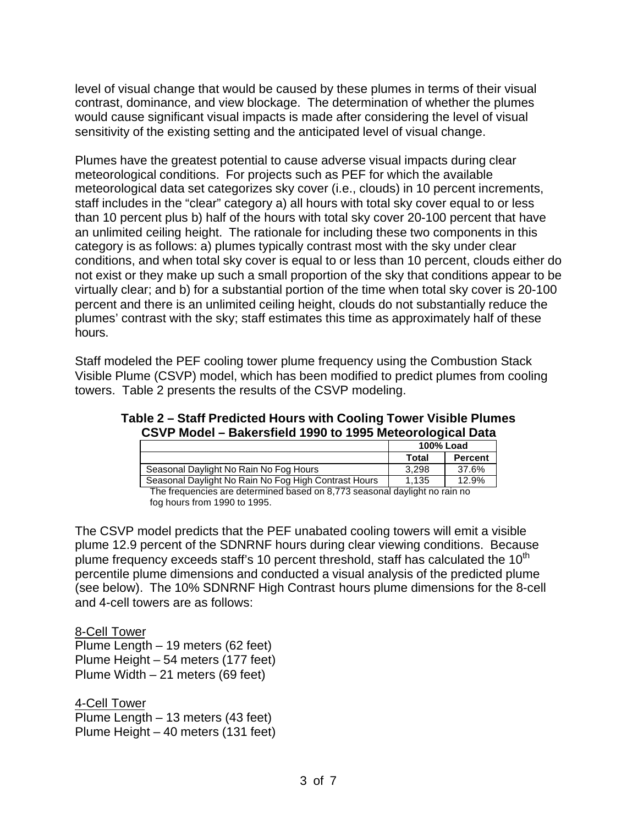level of visual change that would be caused by these plumes in terms of their visual contrast, dominance, and view blockage. The determination of whether the plumes would cause significant visual impacts is made after considering the level of visual sensitivity of the existing setting and the anticipated level of visual change.

Plumes have the greatest potential to cause adverse visual impacts during clear meteorological conditions. For projects such as PEF for which the available meteorological data set categorizes sky cover (i.e., clouds) in 10 percent increments, staff includes in the "clear" category a) all hours with total sky cover equal to or less than 10 percent plus b) half of the hours with total sky cover 20-100 percent that have an unlimited ceiling height. The rationale for including these two components in this category is as follows: a) plumes typically contrast most with the sky under clear conditions, and when total sky cover is equal to or less than 10 percent, clouds either do not exist or they make up such a small proportion of the sky that conditions appear to be virtually clear; and b) for a substantial portion of the time when total sky cover is 20-100 percent and there is an unlimited ceiling height, clouds do not substantially reduce the plumes' contrast with the sky; staff estimates this time as approximately half of these hours.

Staff modeled the PEF cooling tower plume frequency using the Combustion Stack Visible Plume (CSVP) model, which has been modified to predict plumes from cooling towers. Table 2 presents the results of the CSVP modeling.

| Table 2 – Staff Predicted Hours with Cooling Tower Visible Plumes |  |
|-------------------------------------------------------------------|--|
| CSVP Model - Bakersfield 1990 to 1995 Meteorological Data         |  |

|                                                      | 100% Load |                |
|------------------------------------------------------|-----------|----------------|
|                                                      | Total     | <b>Percent</b> |
| Seasonal Daylight No Rain No Fog Hours               | 3.298     | 37.6%          |
| Seasonal Daylight No Rain No Fog High Contrast Hours | 1.135     | 12.9%          |
|                                                      |           |                |

The frequencies are determined based on 8,773 seasonal daylight no rain no fog hours from 1990 to 1995.

The CSVP model predicts that the PEF unabated cooling towers will emit a visible plume 12.9 percent of the SDNRNF hours during clear viewing conditions. Because plume frequency exceeds staff's 10 percent threshold, staff has calculated the  $10<sup>th</sup>$ percentile plume dimensions and conducted a visual analysis of the predicted plume (see below). The 10% SDNRNF High Contrast hours plume dimensions for the 8-cell and 4-cell towers are as follows:

8-Cell Tower Plume Length – 19 meters (62 feet) Plume Height – 54 meters (177 feet) Plume Width – 21 meters (69 feet)

4-Cell Tower Plume Length – 13 meters (43 feet) Plume Height – 40 meters (131 feet)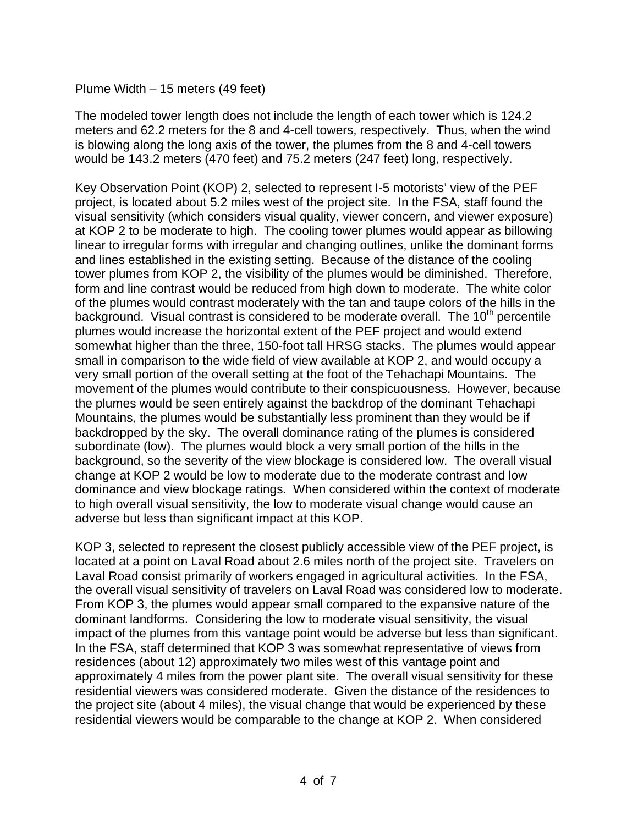#### Plume Width – 15 meters (49 feet)

The modeled tower length does not include the length of each tower which is 124.2 meters and 62.2 meters for the 8 and 4-cell towers, respectively. Thus, when the wind is blowing along the long axis of the tower, the plumes from the 8 and 4-cell towers would be 143.2 meters (470 feet) and 75.2 meters (247 feet) long, respectively.

Key Observation Point (KOP) 2, selected to represent I-5 motorists' view of the PEF project, is located about 5.2 miles west of the project site. In the FSA, staff found the visual sensitivity (which considers visual quality, viewer concern, and viewer exposure) at KOP 2 to be moderate to high. The cooling tower plumes would appear as billowing linear to irregular forms with irregular and changing outlines, unlike the dominant forms and lines established in the existing setting. Because of the distance of the cooling tower plumes from KOP 2, the visibility of the plumes would be diminished. Therefore, form and line contrast would be reduced from high down to moderate. The white color of the plumes would contrast moderately with the tan and taupe colors of the hills in the background. Visual contrast is considered to be moderate overall. The  $10<sup>th</sup>$  percentile plumes would increase the horizontal extent of the PEF project and would extend somewhat higher than the three, 150-foot tall HRSG stacks. The plumes would appear small in comparison to the wide field of view available at KOP 2, and would occupy a very small portion of the overall setting at the foot of the Tehachapi Mountains. The movement of the plumes would contribute to their conspicuousness. However, because the plumes would be seen entirely against the backdrop of the dominant Tehachapi Mountains, the plumes would be substantially less prominent than they would be if backdropped by the sky. The overall dominance rating of the plumes is considered subordinate (low). The plumes would block a very small portion of the hills in the background, so the severity of the view blockage is considered low. The overall visual change at KOP 2 would be low to moderate due to the moderate contrast and low dominance and view blockage ratings. When considered within the context of moderate to high overall visual sensitivity, the low to moderate visual change would cause an adverse but less than significant impact at this KOP.

KOP 3, selected to represent the closest publicly accessible view of the PEF project, is located at a point on Laval Road about 2.6 miles north of the project site. Travelers on Laval Road consist primarily of workers engaged in agricultural activities. In the FSA, the overall visual sensitivity of travelers on Laval Road was considered low to moderate. From KOP 3, the plumes would appear small compared to the expansive nature of the dominant landforms. Considering the low to moderate visual sensitivity, the visual impact of the plumes from this vantage point would be adverse but less than significant. In the FSA, staff determined that KOP 3 was somewhat representative of views from residences (about 12) approximately two miles west of this vantage point and approximately 4 miles from the power plant site. The overall visual sensitivity for these residential viewers was considered moderate. Given the distance of the residences to the project site (about 4 miles), the visual change that would be experienced by these residential viewers would be comparable to the change at KOP 2. When considered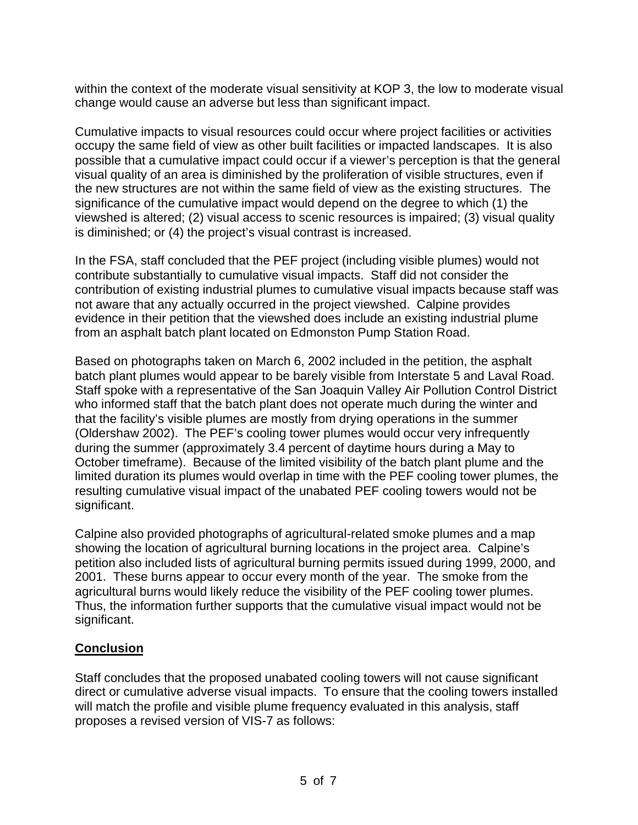within the context of the moderate visual sensitivity at KOP 3, the low to moderate visual change would cause an adverse but less than significant impact.

Cumulative impacts to visual resources could occur where project facilities or activities occupy the same field of view as other built facilities or impacted landscapes. It is also possible that a cumulative impact could occur if a viewer's perception is that the general visual quality of an area is diminished by the proliferation of visible structures, even if the new structures are not within the same field of view as the existing structures. The significance of the cumulative impact would depend on the degree to which (1) the viewshed is altered; (2) visual access to scenic resources is impaired; (3) visual quality is diminished; or (4) the project's visual contrast is increased.

In the FSA, staff concluded that the PEF project (including visible plumes) would not contribute substantially to cumulative visual impacts. Staff did not consider the contribution of existing industrial plumes to cumulative visual impacts because staff was not aware that any actually occurred in the project viewshed. Calpine provides evidence in their petition that the viewshed does include an existing industrial plume from an asphalt batch plant located on Edmonston Pump Station Road.

Based on photographs taken on March 6, 2002 included in the petition, the asphalt batch plant plumes would appear to be barely visible from Interstate 5 and Laval Road. Staff spoke with a representative of the San Joaquin Valley Air Pollution Control District who informed staff that the batch plant does not operate much during the winter and that the facility's visible plumes are mostly from drying operations in the summer (Oldershaw 2002). The PEF's cooling tower plumes would occur very infrequently during the summer (approximately 3.4 percent of daytime hours during a May to October timeframe). Because of the limited visibility of the batch plant plume and the limited duration its plumes would overlap in time with the PEF cooling tower plumes, the resulting cumulative visual impact of the unabated PEF cooling towers would not be significant.

Calpine also provided photographs of agricultural-related smoke plumes and a map showing the location of agricultural burning locations in the project area. Calpine's petition also included lists of agricultural burning permits issued during 1999, 2000, and 2001. These burns appear to occur every month of the year. The smoke from the agricultural burns would likely reduce the visibility of the PEF cooling tower plumes. Thus, the information further supports that the cumulative visual impact would not be significant.

# **Conclusion**

Staff concludes that the proposed unabated cooling towers will not cause significant direct or cumulative adverse visual impacts. To ensure that the cooling towers installed will match the profile and visible plume frequency evaluated in this analysis, staff proposes a revised version of VIS-7 as follows: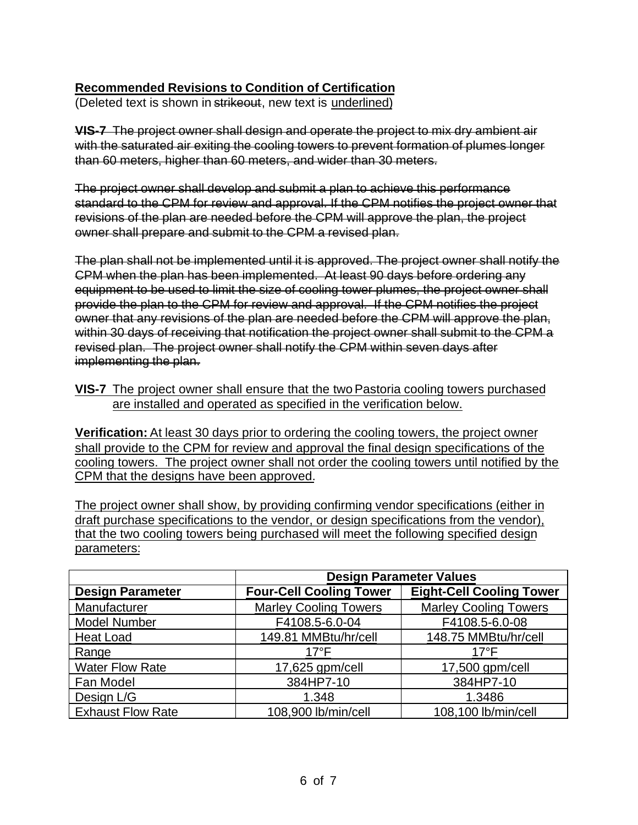# **Recommended Revisions to Condition of Certification**

(Deleted text is shown in strikeout, new text is underlined)

**VIS-7** The project owner shall design and operate the project to mix dry ambient air with the saturated air exiting the cooling towers to prevent formation of plumes longer than 60 meters, higher than 60 meters, and wider than 30 meters.

The project owner shall develop and submit a plan to achieve this performance standard to the CPM for review and approval. If the CPM notifies the project owner that revisions of the plan are needed before the CPM will approve the plan, the project owner shall prepare and submit to the CPM a revised plan.

The plan shall not be implemented until it is approved. The project owner shall notify the CPM when the plan has been implemented. At least 90 days before ordering any equipment to be used to limit the size of cooling tower plumes, the project owner shall provide the plan to the CPM for review and approval. If the CPM notifies the project owner that any revisions of the plan are needed before the CPM will approve the plan, within 30 days of receiving that notification the project owner shall submit to the CPM a revised plan. The project owner shall notify the CPM within seven days after implementing the plan.

**VIS-7** The project owner shall ensure that the two Pastoria cooling towers purchased are installed and operated as specified in the verification below.

**Verification:** At least 30 days prior to ordering the cooling towers, the project owner shall provide to the CPM for review and approval the final design specifications of the cooling towers. The project owner shall not order the cooling towers until notified by the CPM that the designs have been approved.

The project owner shall show, by providing confirming vendor specifications (either in draft purchase specifications to the vendor, or design specifications from the vendor), that the two cooling towers being purchased will meet the following specified design parameters:

|                          | <b>Design Parameter Values</b> |                                 |  |
|--------------------------|--------------------------------|---------------------------------|--|
| <b>Design Parameter</b>  | <b>Four-Cell Cooling Tower</b> | <b>Eight-Cell Cooling Tower</b> |  |
| Manufacturer             | <b>Marley Cooling Towers</b>   | <b>Marley Cooling Towers</b>    |  |
| <b>Model Number</b>      | F4108.5-6.0-04                 | F4108.5-6.0-08                  |  |
| <b>Heat Load</b>         | 149.81 MMBtu/hr/cell           | 148.75 MMBtu/hr/cell            |  |
| Range                    | $17^{\circ}$ F                 | $17^{\circ}$ F                  |  |
| <b>Water Flow Rate</b>   | 17,625 gpm/cell                | 17,500 gpm/cell                 |  |
| Fan Model                | 384HP7-10                      | 384HP7-10                       |  |
| Design L/G               | 1.348                          | 1.3486                          |  |
| <b>Exhaust Flow Rate</b> | 108,900 lb/min/cell            | 108,100 lb/min/cell             |  |